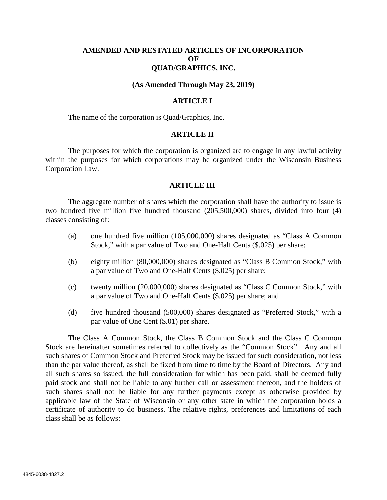## **AMENDED AND RESTATED ARTICLES OF INCORPORATION OF QUAD/GRAPHICS, INC.**

#### **(As Amended Through May 23, 2019)**

#### **ARTICLE I**

The name of the corporation is Quad/Graphics, Inc.

#### **ARTICLE II**

The purposes for which the corporation is organized are to engage in any lawful activity within the purposes for which corporations may be organized under the Wisconsin Business Corporation Law.

#### **ARTICLE III**

The aggregate number of shares which the corporation shall have the authority to issue is two hundred five million five hundred thousand (205,500,000) shares, divided into four (4) classes consisting of:

- (a) one hundred five million (105,000,000) shares designated as "Class A Common Stock," with a par value of Two and One-Half Cents (\$.025) per share;
- (b) eighty million (80,000,000) shares designated as "Class B Common Stock," with a par value of Two and One-Half Cents (\$.025) per share;
- (c) twenty million (20,000,000) shares designated as "Class C Common Stock," with a par value of Two and One-Half Cents (\$.025) per share; and
- (d) five hundred thousand (500,000) shares designated as "Preferred Stock," with a par value of One Cent (\$.01) per share.

The Class A Common Stock, the Class B Common Stock and the Class C Common Stock are hereinafter sometimes referred to collectively as the "Common Stock". Any and all such shares of Common Stock and Preferred Stock may be issued for such consideration, not less than the par value thereof, as shall be fixed from time to time by the Board of Directors. Any and all such shares so issued, the full consideration for which has been paid, shall be deemed fully paid stock and shall not be liable to any further call or assessment thereon, and the holders of such shares shall not be liable for any further payments except as otherwise provided by applicable law of the State of Wisconsin or any other state in which the corporation holds a certificate of authority to do business. The relative rights, preferences and limitations of each class shall be as follows: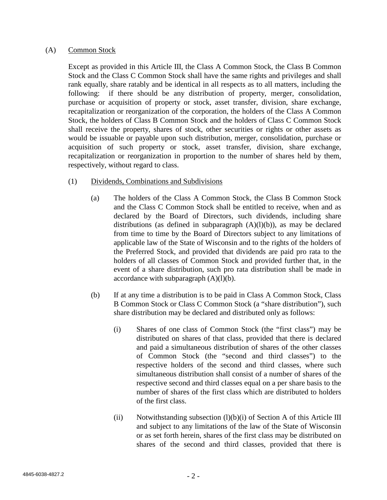## (A) Common Stock

Except as provided in this Article III, the Class A Common Stock, the Class B Common Stock and the Class C Common Stock shall have the same rights and privileges and shall rank equally, share ratably and be identical in all respects as to all matters, including the following: if there should be any distribution of property, merger, consolidation, purchase or acquisition of property or stock, asset transfer, division, share exchange, recapitalization or reorganization of the corporation, the holders of the Class A Common Stock, the holders of Class B Common Stock and the holders of Class C Common Stock shall receive the property, shares of stock, other securities or rights or other assets as would be issuable or payable upon such distribution, merger, consolidation, purchase or acquisition of such property or stock, asset transfer, division, share exchange, recapitalization or reorganization in proportion to the number of shares held by them, respectively, without regard to class.

# (1) Dividends, Combinations and Subdivisions

- (a) The holders of the Class A Common Stock, the Class B Common Stock and the Class C Common Stock shall be entitled to receive, when and as declared by the Board of Directors, such dividends, including share distributions (as defined in subparagraph  $(A)(I)(b)$ ), as may be declared from time to time by the Board of Directors subject to any limitations of applicable law of the State of Wisconsin and to the rights of the holders of the Preferred Stock, and provided that dividends are paid pro rata to the holders of all classes of Common Stock and provided further that, in the event of a share distribution, such pro rata distribution shall be made in accordance with subparagraph  $(A)(l)(b)$ .
- (b) If at any time a distribution is to be paid in Class A Common Stock, Class B Common Stock or Class C Common Stock (a "share distribution"), such share distribution may be declared and distributed only as follows:
	- (i) Shares of one class of Common Stock (the "first class") may be distributed on shares of that class, provided that there is declared and paid a simultaneous distribution of shares of the other classes of Common Stock (the "second and third classes") to the respective holders of the second and third classes, where such simultaneous distribution shall consist of a number of shares of the respective second and third classes equal on a per share basis to the number of shares of the first class which are distributed to holders of the first class.
	- (ii) Notwithstanding subsection  $(l)(b)(i)$  of Section A of this Article III and subject to any limitations of the law of the State of Wisconsin or as set forth herein, shares of the first class may be distributed on shares of the second and third classes, provided that there is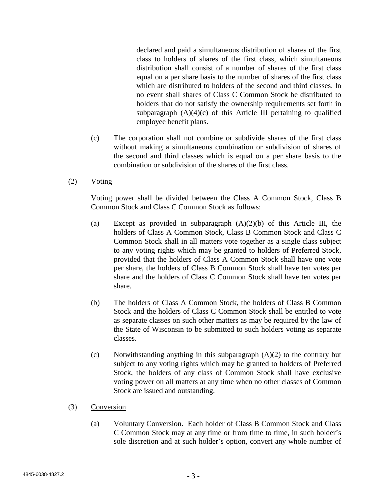declared and paid a simultaneous distribution of shares of the first class to holders of shares of the first class, which simultaneous distribution shall consist of a number of shares of the first class equal on a per share basis to the number of shares of the first class which are distributed to holders of the second and third classes. In no event shall shares of Class C Common Stock be distributed to holders that do not satisfy the ownership requirements set forth in subparagraph  $(A)(4)(c)$  of this Article III pertaining to qualified employee benefit plans.

- (c) The corporation shall not combine or subdivide shares of the first class without making a simultaneous combination or subdivision of shares of the second and third classes which is equal on a per share basis to the combination or subdivision of the shares of the first class.
- (2) Voting

Voting power shall be divided between the Class A Common Stock, Class B Common Stock and Class C Common Stock as follows:

- (a) Except as provided in subparagraph  $(A)(2)(b)$  of this Article III, the holders of Class A Common Stock, Class B Common Stock and Class C Common Stock shall in all matters vote together as a single class subject to any voting rights which may be granted to holders of Preferred Stock, provided that the holders of Class A Common Stock shall have one vote per share, the holders of Class B Common Stock shall have ten votes per share and the holders of Class C Common Stock shall have ten votes per share.
- (b) The holders of Class A Common Stock, the holders of Class B Common Stock and the holders of Class C Common Stock shall be entitled to vote as separate classes on such other matters as may be required by the law of the State of Wisconsin to be submitted to such holders voting as separate classes.
- (c) Notwithstanding anything in this subparagraph  $(A)(2)$  to the contrary but subject to any voting rights which may be granted to holders of Preferred Stock, the holders of any class of Common Stock shall have exclusive voting power on all matters at any time when no other classes of Common Stock are issued and outstanding.
- (3) Conversion
	- (a) Voluntary Conversion. Each holder of Class B Common Stock and Class C Common Stock may at any time or from time to time, in such holder's sole discretion and at such holder's option, convert any whole number of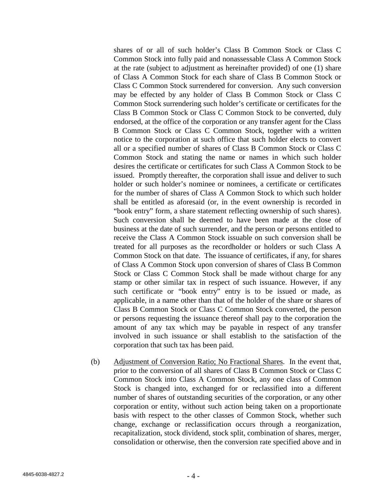shares of or all of such holder's Class B Common Stock or Class C Common Stock into fully paid and nonassessable Class A Common Stock at the rate (subject to adjustment as hereinafter provided) of one (1) share of Class A Common Stock for each share of Class B Common Stock or Class C Common Stock surrendered for conversion. Any such conversion may be effected by any holder of Class B Common Stock or Class C Common Stock surrendering such holder's certificate or certificates for the Class B Common Stock or Class C Common Stock to be converted, duly endorsed, at the office of the corporation or any transfer agent for the Class B Common Stock or Class C Common Stock, together with a written notice to the corporation at such office that such holder elects to convert all or a specified number of shares of Class B Common Stock or Class C Common Stock and stating the name or names in which such holder desires the certificate or certificates for such Class A Common Stock to be issued. Promptly thereafter, the corporation shall issue and deliver to such holder or such holder's nominee or nominees, a certificate or certificates for the number of shares of Class A Common Stock to which such holder shall be entitled as aforesaid (or, in the event ownership is recorded in "book entry" form, a share statement reflecting ownership of such shares). Such conversion shall be deemed to have been made at the close of business at the date of such surrender, and the person or persons entitled to receive the Class A Common Stock issuable on such conversion shall be treated for all purposes as the recordholder or holders or such Class A Common Stock on that date. The issuance of certificates, if any, for shares of Class A Common Stock upon conversion of shares of Class B Common Stock or Class C Common Stock shall be made without charge for any stamp or other similar tax in respect of such issuance. However, if any such certificate or "book entry" entry is to be issued or made, as applicable, in a name other than that of the holder of the share or shares of Class B Common Stock or Class C Common Stock converted, the person or persons requesting the issuance thereof shall pay to the corporation the amount of any tax which may be payable in respect of any transfer involved in such issuance or shall establish to the satisfaction of the corporation that such tax has been paid.

(b) Adjustment of Conversion Ratio; No Fractional Shares. In the event that, prior to the conversion of all shares of Class B Common Stock or Class C Common Stock into Class A Common Stock, any one class of Common Stock is changed into, exchanged for or reclassified into a different number of shares of outstanding securities of the corporation, or any other corporation or entity, without such action being taken on a proportionate basis with respect to the other classes of Common Stock, whether such change, exchange or reclassification occurs through a reorganization, recapitalization, stock dividend, stock split, combination of shares, merger, consolidation or otherwise, then the conversion rate specified above and in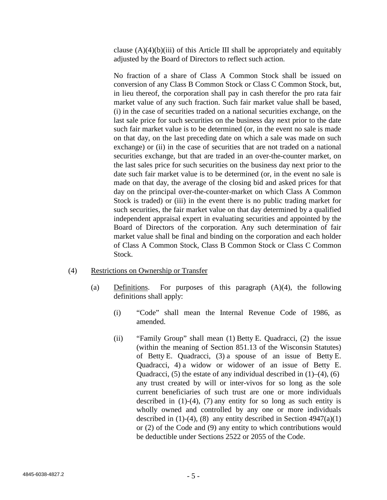clause  $(A)(4)(b)(iii)$  of this Article III shall be appropriately and equitably adjusted by the Board of Directors to reflect such action.

No fraction of a share of Class A Common Stock shall be issued on conversion of any Class B Common Stock or Class C Common Stock, but, in lieu thereof, the corporation shall pay in cash therefor the pro rata fair market value of any such fraction. Such fair market value shall be based, (i) in the case of securities traded on a national securities exchange, on the last sale price for such securities on the business day next prior to the date such fair market value is to be determined (or, in the event no sale is made on that day, on the last preceding date on which a sale was made on such exchange) or (ii) in the case of securities that are not traded on a national securities exchange, but that are traded in an over-the-counter market, on the last sales price for such securities on the business day next prior to the date such fair market value is to be determined (or, in the event no sale is made on that day, the average of the closing bid and asked prices for that day on the principal over-the-counter-market on which Class A Common Stock is traded) or (iii) in the event there is no public trading market for such securities, the fair market value on that day determined by a qualified independent appraisal expert in evaluating securities and appointed by the Board of Directors of the corporation. Any such determination of fair market value shall be final and binding on the corporation and each holder of Class A Common Stock, Class B Common Stock or Class C Common Stock.

### (4) Restrictions on Ownership or Transfer

- (a) Definitions. For purposes of this paragraph (A)(4), the following definitions shall apply:
	- (i) "Code" shall mean the Internal Revenue Code of 1986, as amended.
	- (ii) "Family Group" shall mean (1) Betty E. Quadracci, (2) the issue (within the meaning of Section 851.13 of the Wisconsin Statutes) of Betty E. Quadracci, (3) a spouse of an issue of Betty E. Quadracci, 4) a widow or widower of an issue of Betty E. Quadracci,  $(5)$  the estate of any individual described in  $(1)$ – $(4)$ ,  $(6)$ any trust created by will or inter-vivos for so long as the sole current beneficiaries of such trust are one or more individuals described in  $(1)-(4)$ ,  $(7)$  any entity for so long as such entity is wholly owned and controlled by any one or more individuals described in  $(1)-(4)$ ,  $(8)$  any entity described in Section 4947 $(a)(1)$ or (2) of the Code and (9) any entity to which contributions would be deductible under Sections 2522 or 2055 of the Code.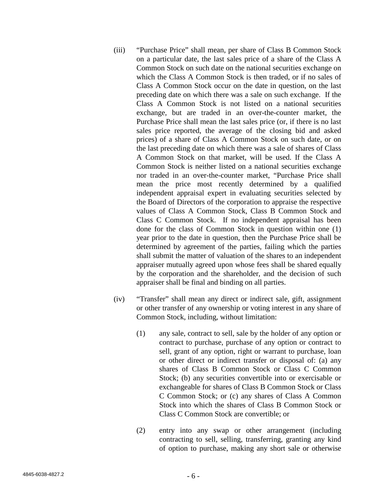- (iii) "Purchase Price" shall mean, per share of Class B Common Stock on a particular date, the last sales price of a share of the Class A Common Stock on such date on the national securities exchange on which the Class A Common Stock is then traded, or if no sales of Class A Common Stock occur on the date in question, on the last preceding date on which there was a sale on such exchange. If the Class A Common Stock is not listed on a national securities exchange, but are traded in an over-the-counter market, the Purchase Price shall mean the last sales price (or, if there is no last sales price reported, the average of the closing bid and asked prices) of a share of Class A Common Stock on such date, or on the last preceding date on which there was a sale of shares of Class A Common Stock on that market, will be used. If the Class A Common Stock is neither listed on a national securities exchange nor traded in an over-the-counter market, "Purchase Price shall mean the price most recently determined by a qualified independent appraisal expert in evaluating securities selected by the Board of Directors of the corporation to appraise the respective values of Class A Common Stock, Class B Common Stock and Class C Common Stock. If no independent appraisal has been done for the class of Common Stock in question within one (1) year prior to the date in question, then the Purchase Price shall be determined by agreement of the parties, failing which the parties shall submit the matter of valuation of the shares to an independent appraiser mutually agreed upon whose fees shall be shared equally by the corporation and the shareholder, and the decision of such appraiser shall be final and binding on all parties.
- (iv) "Transfer" shall mean any direct or indirect sale, gift, assignment or other transfer of any ownership or voting interest in any share of Common Stock, including, without limitation:
	- (1) any sale, contract to sell, sale by the holder of any option or contract to purchase, purchase of any option or contract to sell, grant of any option, right or warrant to purchase, loan or other direct or indirect transfer or disposal of: (a) any shares of Class B Common Stock or Class C Common Stock; (b) any securities convertible into or exercisable or exchangeable for shares of Class B Common Stock or Class C Common Stock; or (c) any shares of Class A Common Stock into which the shares of Class B Common Stock or Class C Common Stock are convertible; or
	- (2) entry into any swap or other arrangement (including contracting to sell, selling, transferring, granting any kind of option to purchase, making any short sale or otherwise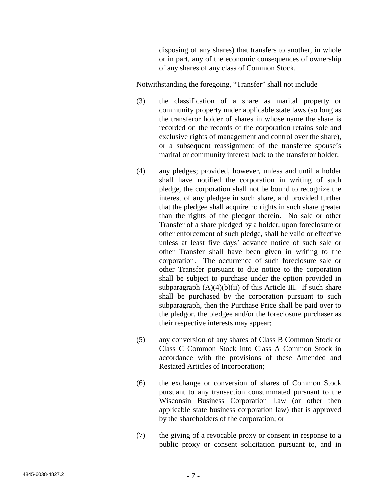disposing of any shares) that transfers to another, in whole or in part, any of the economic consequences of ownership of any shares of any class of Common Stock.

Notwithstanding the foregoing, "Transfer" shall not include

- (3) the classification of a share as marital property or community property under applicable state laws (so long as the transferor holder of shares in whose name the share is recorded on the records of the corporation retains sole and exclusive rights of management and control over the share), or a subsequent reassignment of the transferee spouse's marital or community interest back to the transferor holder;
- (4) any pledges; provided, however, unless and until a holder shall have notified the corporation in writing of such pledge, the corporation shall not be bound to recognize the interest of any pledgee in such share, and provided further that the pledgee shall acquire no rights in such share greater than the rights of the pledgor therein. No sale or other Transfer of a share pledged by a holder, upon foreclosure or other enforcement of such pledge, shall be valid or effective unless at least five days' advance notice of such sale or other Transfer shall have been given in writing to the corporation. The occurrence of such foreclosure sale or other Transfer pursuant to due notice to the corporation shall be subject to purchase under the option provided in subparagraph  $(A)(4)(b)(ii)$  of this Article III. If such share shall be purchased by the corporation pursuant to such subparagraph, then the Purchase Price shall be paid over to the pledgor, the pledgee and/or the foreclosure purchaser as their respective interests may appear;
- (5) any conversion of any shares of Class B Common Stock or Class C Common Stock into Class A Common Stock in accordance with the provisions of these Amended and Restated Articles of Incorporation;
- (6) the exchange or conversion of shares of Common Stock pursuant to any transaction consummated pursuant to the Wisconsin Business Corporation Law (or other then applicable state business corporation law) that is approved by the shareholders of the corporation; or
- (7) the giving of a revocable proxy or consent in response to a public proxy or consent solicitation pursuant to, and in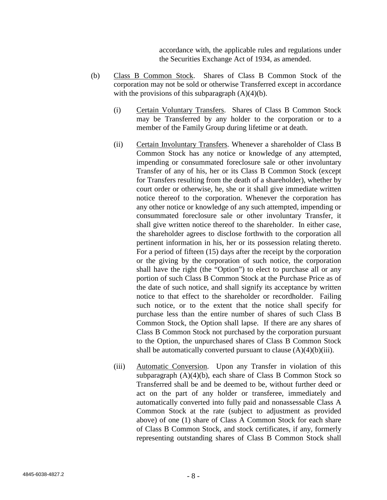accordance with, the applicable rules and regulations under the Securities Exchange Act of 1934, as amended.

- (b) Class B Common Stock. Shares of Class B Common Stock of the corporation may not be sold or otherwise Transferred except in accordance with the provisions of this subparagraph  $(A)(4)(b)$ .
	- (i) Certain Voluntary Transfers. Shares of Class B Common Stock may be Transferred by any holder to the corporation or to a member of the Family Group during lifetime or at death.
	- (ii) Certain Involuntary Transfers. Whenever a shareholder of Class B Common Stock has any notice or knowledge of any attempted, impending or consummated foreclosure sale or other involuntary Transfer of any of his, her or its Class B Common Stock (except for Transfers resulting from the death of a shareholder), whether by court order or otherwise, he, she or it shall give immediate written notice thereof to the corporation. Whenever the corporation has any other notice or knowledge of any such attempted, impending or consummated foreclosure sale or other involuntary Transfer, it shall give written notice thereof to the shareholder. In either case, the shareholder agrees to disclose forthwith to the corporation all pertinent information in his, her or its possession relating thereto. For a period of fifteen (15) days after the receipt by the corporation or the giving by the corporation of such notice, the corporation shall have the right (the "Option") to elect to purchase all or any portion of such Class B Common Stock at the Purchase Price as of the date of such notice, and shall signify its acceptance by written notice to that effect to the shareholder or recordholder. Failing such notice, or to the extent that the notice shall specify for purchase less than the entire number of shares of such Class B Common Stock, the Option shall lapse. If there are any shares of Class B Common Stock not purchased by the corporation pursuant to the Option, the unpurchased shares of Class B Common Stock shall be automatically converted pursuant to clause  $(A)(4)(b)(iii)$ .
	- (iii) Automatic Conversion. Upon any Transfer in violation of this subparagraph (A)(4)(b), each share of Class B Common Stock so Transferred shall be and be deemed to be, without further deed or act on the part of any holder or transferee, immediately and automatically converted into fully paid and nonassessable Class A Common Stock at the rate (subject to adjustment as provided above) of one (1) share of Class A Common Stock for each share of Class B Common Stock, and stock certificates, if any, formerly representing outstanding shares of Class B Common Stock shall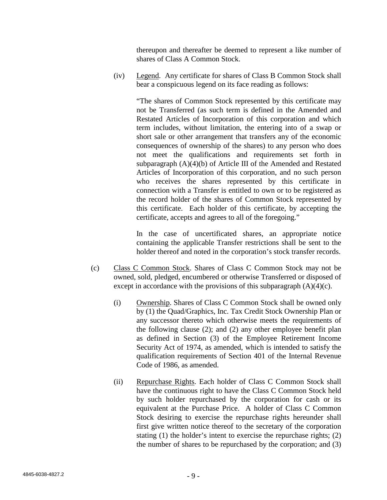thereupon and thereafter be deemed to represent a like number of shares of Class A Common Stock.

(iv) Legend. Any certificate for shares of Class B Common Stock shall bear a conspicuous legend on its face reading as follows:

> "The shares of Common Stock represented by this certificate may not be Transferred (as such term is defined in the Amended and Restated Articles of Incorporation of this corporation and which term includes, without limitation, the entering into of a swap or short sale or other arrangement that transfers any of the economic consequences of ownership of the shares) to any person who does not meet the qualifications and requirements set forth in subparagraph (A)(4)(b) of Article III of the Amended and Restated Articles of Incorporation of this corporation, and no such person who receives the shares represented by this certificate in connection with a Transfer is entitled to own or to be registered as the record holder of the shares of Common Stock represented by this certificate. Each holder of this certificate, by accepting the certificate, accepts and agrees to all of the foregoing."

> In the case of uncertificated shares, an appropriate notice containing the applicable Transfer restrictions shall be sent to the holder thereof and noted in the corporation's stock transfer records.

- (c) Class C Common Stock. Shares of Class C Common Stock may not be owned, sold, pledged, encumbered or otherwise Transferred or disposed of except in accordance with the provisions of this subparagraph  $(A)(4)(c)$ .
	- (i) Ownership. Shares of Class C Common Stock shall be owned only by (1) the Quad/Graphics, Inc. Tax Credit Stock Ownership Plan or any successor thereto which otherwise meets the requirements of the following clause (2); and (2) any other employee benefit plan as defined in Section (3) of the Employee Retirement Income Security Act of 1974, as amended, which is intended to satisfy the qualification requirements of Section 401 of the Internal Revenue Code of 1986, as amended.
	- (ii) Repurchase Rights. Each holder of Class C Common Stock shall have the continuous right to have the Class C Common Stock held by such holder repurchased by the corporation for cash or its equivalent at the Purchase Price. A holder of Class C Common Stock desiring to exercise the repurchase rights hereunder shall first give written notice thereof to the secretary of the corporation stating (1) the holder's intent to exercise the repurchase rights; (2) the number of shares to be repurchased by the corporation; and (3)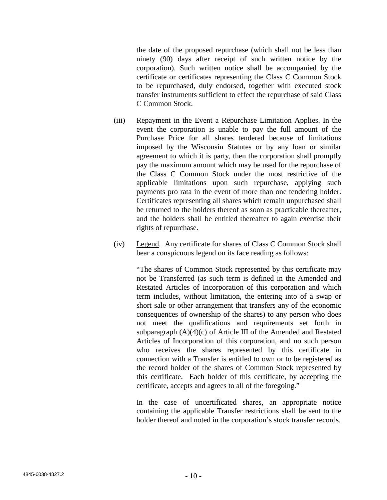the date of the proposed repurchase (which shall not be less than ninety (90) days after receipt of such written notice by the corporation). Such written notice shall be accompanied by the certificate or certificates representing the Class C Common Stock to be repurchased, duly endorsed, together with executed stock transfer instruments sufficient to effect the repurchase of said Class C Common Stock.

- (iii) Repayment in the Event a Repurchase Limitation Applies. In the event the corporation is unable to pay the full amount of the Purchase Price for all shares tendered because of limitations imposed by the Wisconsin Statutes or by any loan or similar agreement to which it is party, then the corporation shall promptly pay the maximum amount which may be used for the repurchase of the Class C Common Stock under the most restrictive of the applicable limitations upon such repurchase, applying such payments pro rata in the event of more than one tendering holder. Certificates representing all shares which remain unpurchased shall be returned to the holders thereof as soon as practicable thereafter, and the holders shall be entitled thereafter to again exercise their rights of repurchase.
- (iv) Legend. Any certificate for shares of Class C Common Stock shall bear a conspicuous legend on its face reading as follows:

"The shares of Common Stock represented by this certificate may not be Transferred (as such term is defined in the Amended and Restated Articles of Incorporation of this corporation and which term includes, without limitation, the entering into of a swap or short sale or other arrangement that transfers any of the economic consequences of ownership of the shares) to any person who does not meet the qualifications and requirements set forth in subparagraph (A)(4)(c) of Article III of the Amended and Restated Articles of Incorporation of this corporation, and no such person who receives the shares represented by this certificate in connection with a Transfer is entitled to own or to be registered as the record holder of the shares of Common Stock represented by this certificate. Each holder of this certificate, by accepting the certificate, accepts and agrees to all of the foregoing."

In the case of uncertificated shares, an appropriate notice containing the applicable Transfer restrictions shall be sent to the holder thereof and noted in the corporation's stock transfer records.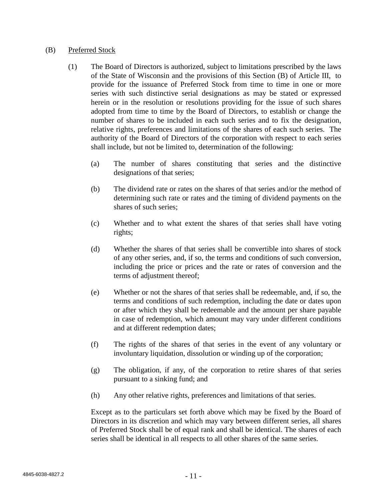### (B) Preferred Stock

- (1) The Board of Directors is authorized, subject to limitations prescribed by the laws of the State of Wisconsin and the provisions of this Section (B) of Article III, to provide for the issuance of Preferred Stock from time to time in one or more series with such distinctive serial designations as may be stated or expressed herein or in the resolution or resolutions providing for the issue of such shares adopted from time to time by the Board of Directors, to establish or change the number of shares to be included in each such series and to fix the designation, relative rights, preferences and limitations of the shares of each such series. The authority of the Board of Directors of the corporation with respect to each series shall include, but not be limited to, determination of the following:
	- (a) The number of shares constituting that series and the distinctive designations of that series;
	- (b) The dividend rate or rates on the shares of that series and/or the method of determining such rate or rates and the timing of dividend payments on the shares of such series;
	- (c) Whether and to what extent the shares of that series shall have voting rights;
	- (d) Whether the shares of that series shall be convertible into shares of stock of any other series, and, if so, the terms and conditions of such conversion, including the price or prices and the rate or rates of conversion and the terms of adjustment thereof;
	- (e) Whether or not the shares of that series shall be redeemable, and, if so, the terms and conditions of such redemption, including the date or dates upon or after which they shall be redeemable and the amount per share payable in case of redemption, which amount may vary under different conditions and at different redemption dates;
	- (f) The rights of the shares of that series in the event of any voluntary or involuntary liquidation, dissolution or winding up of the corporation;
	- (g) The obligation, if any, of the corporation to retire shares of that series pursuant to a sinking fund; and
	- (h) Any other relative rights, preferences and limitations of that series.

Except as to the particulars set forth above which may be fixed by the Board of Directors in its discretion and which may vary between different series, all shares of Preferred Stock shall be of equal rank and shall be identical. The shares of each series shall be identical in all respects to all other shares of the same series.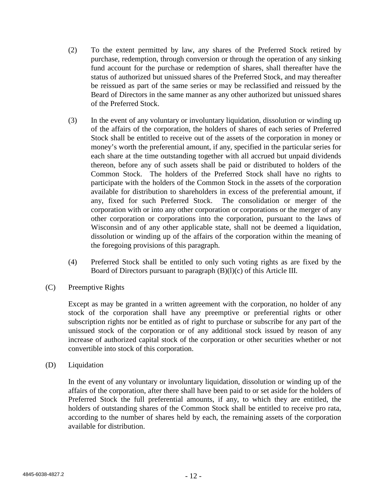- (2) To the extent permitted by law, any shares of the Preferred Stock retired by purchase, redemption, through conversion or through the operation of any sinking fund account for the purchase or redemption of shares, shall thereafter have the status of authorized but unissued shares of the Preferred Stock, and may thereafter be reissued as part of the same series or may be reclassified and reissued by the Beard of Directors in the same manner as any other authorized but unissued shares of the Preferred Stock.
- (3) In the event of any voluntary or involuntary liquidation, dissolution or winding up of the affairs of the corporation, the holders of shares of each series of Preferred Stock shall be entitled to receive out of the assets of the corporation in money or money's worth the preferential amount, if any, specified in the particular series for each share at the time outstanding together with all accrued but unpaid dividends thereon, before any of such assets shall be paid or distributed to holders of the Common Stock. The holders of the Preferred Stock shall have no rights to participate with the holders of the Common Stock in the assets of the corporation available for distribution to shareholders in excess of the preferential amount, if any, fixed for such Preferred Stock. The consolidation or merger of the corporation with or into any other corporation or corporations or the merger of any other corporation or corporations into the corporation, pursuant to the laws of Wisconsin and of any other applicable state, shall not be deemed a liquidation, dissolution or winding up of the affairs of the corporation within the meaning of the foregoing provisions of this paragraph.
- (4) Preferred Stock shall be entitled to only such voting rights as are fixed by the Board of Directors pursuant to paragraph (B)(l)(c) of this Article III.
- (C) Preemptive Rights

Except as may be granted in a written agreement with the corporation, no holder of any stock of the corporation shall have any preemptive or preferential rights or other subscription rights nor be entitled as of right to purchase or subscribe for any part of the unissued stock of the corporation or of any additional stock issued by reason of any increase of authorized capital stock of the corporation or other securities whether or not convertible into stock of this corporation.

(D) Liquidation

In the event of any voluntary or involuntary liquidation, dissolution or winding up of the affairs of the corporation, after there shall have been paid to or set aside for the holders of Preferred Stock the full preferential amounts, if any, to which they are entitled, the holders of outstanding shares of the Common Stock shall be entitled to receive pro rata, according to the number of shares held by each, the remaining assets of the corporation available for distribution.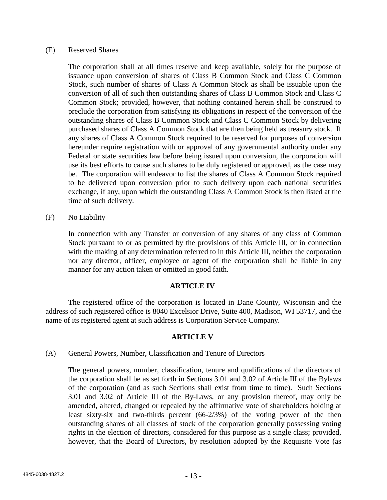### (E) Reserved Shares

The corporation shall at all times reserve and keep available, solely for the purpose of issuance upon conversion of shares of Class B Common Stock and Class C Common Stock, such number of shares of Class A Common Stock as shall be issuable upon the conversion of all of such then outstanding shares of Class B Common Stock and Class C Common Stock; provided, however, that nothing contained herein shall be construed to preclude the corporation from satisfying its obligations in respect of the conversion of the outstanding shares of Class B Common Stock and Class C Common Stock by delivering purchased shares of Class A Common Stock that are then being held as treasury stock. If any shares of Class A Common Stock required to be reserved for purposes of conversion hereunder require registration with or approval of any governmental authority under any Federal or state securities law before being issued upon conversion, the corporation will use its best efforts to cause such shares to be duly registered or approved, as the case may be. The corporation will endeavor to list the shares of Class A Common Stock required to be delivered upon conversion prior to such delivery upon each national securities exchange, if any, upon which the outstanding Class A Common Stock is then listed at the time of such delivery.

(F) No Liability

In connection with any Transfer or conversion of any shares of any class of Common Stock pursuant to or as permitted by the provisions of this Article III, or in connection with the making of any determination referred to in this Article III, neither the corporation nor any director, officer, employee or agent of the corporation shall be liable in any manner for any action taken or omitted in good faith.

#### **ARTICLE IV**

The registered office of the corporation is located in Dane County, Wisconsin and the address of such registered office is 8040 Excelsior Drive, Suite 400, Madison, WI 53717, and the name of its registered agent at such address is Corporation Service Company.

### **ARTICLE V**

### (A) General Powers, Number, Classification and Tenure of Directors

The general powers, number, classification, tenure and qualifications of the directors of the corporation shall be as set forth in Sections 3.01 and 3.02 of Article III of the Bylaws of the corporation (and as such Sections shall exist from time to time). Such Sections 3.01 and 3.02 of Article III of the By-Laws, or any provision thereof, may only be amended, altered, changed or repealed by the affirmative vote of shareholders holding at least sixty-six and two-thirds percent (66-2/3%) of the voting power of the then outstanding shares of all classes of stock of the corporation generally possessing voting rights in the election of directors, considered for this purpose as a single class; provided, however, that the Board of Directors, by resolution adopted by the Requisite Vote (as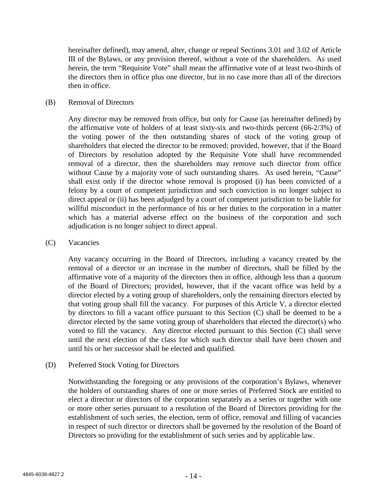hereinafter defined), may amend, alter, change or repeal Sections 3.01 and 3.02 of Article III of the Bylaws, or any provision thereof, without a vote of the shareholders. As used herein, the term "Requisite Vote" shall mean the affirmative vote of at least two-thirds of the directors then in office plus one director, but in no case more than all of the directors then in office.

### (B) Removal of Directors

Any director may be removed from office, but only for Cause (as hereinafter defined) by the affirmative vote of holders of at least sixty-six and two-thirds percent (66-2/3%) of the voting power of the then outstanding shares of stock of the voting group of shareholders that elected the director to be removed; provided, however, that if the Board of Directors by resolution adopted by the Requisite Vote shall have recommended removal of a director, then the shareholders may remove such director from office without Cause by a majority vote of such outstanding shares. As used herein, "Cause" shall exist only if the director whose removal is proposed (i) has been convicted of a felony by a court of competent jurisdiction and such conviction is no longer subject to direct appeal or (ii) has been adjudged by a court of competent jurisdiction to be liable for willful misconduct in the performance of his or her duties to the corporation in a matter which has a material adverse effect on the business of the corporation and such adjudication is no longer subject to direct appeal.

### (C) Vacancies

Any vacancy occurring in the Board of Directors, including a vacancy created by the removal of a director or an increase in the number of directors, shall be filled by the affirmative vote of a majority of the directors then in office, although less than a quorum of the Board of Directors; provided, however, that if the vacant office was held by a director elected by a voting group of shareholders, only the remaining directors elected by that voting group shall fill the vacancy. For purposes of this Article V, a director elected by directors to fill a vacant office pursuant to this Section (C) shall be deemed to be a director elected by the same voting group of shareholders that elected the director(s) who voted to fill the vacancy. Any director elected pursuant to this Section (C) shall serve until the next election of the class for which such director shall have been chosen and until his or her successor shall be elected and qualified.

### (D) Preferred Stock Voting for Directors

Notwithstanding the foregoing or any provisions of the corporation's Bylaws, whenever the holders of outstanding shares of one or more series of Preferred Stock are entitled to elect a director or directors of the corporation separately as a series or together with one or more other series pursuant to a resolution of the Board of Directors providing for the establishment of such series, the election, term of office, removal and filling of vacancies in respect of such director or directors shall be governed by the resolution of the Board of Directors so providing for the establishment of such series and by applicable law.